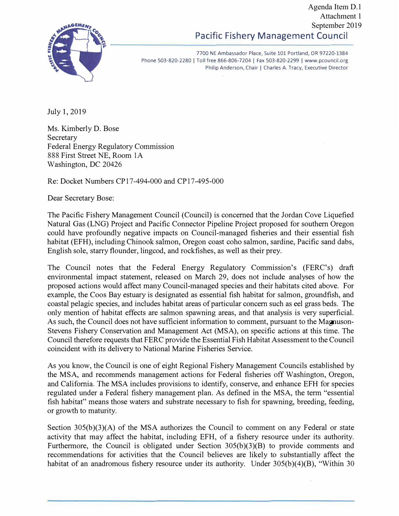## **Pacific Fishery Management Council**  Agenda Item D.1 Attachment 1 September 2019



7700 NE Ambassador Place, Suite 101 Portland, OR 97220-1384 Phone 503-820-2280 | Toll free 866-806-7204 | Fax 503-820-2299 | www.pcouncil.org Philip Anderson, Chair | Charles A. Tracy, Executive Director

July 1, 2019

Ms. Kimberly D. Bose Secretary Federal Energy Regulatory Commission 888 First Street NE, Room IA Washington, DC 20426

Re: Docket Numbers CP17-494-000 and CP17-495-000

Dear Secretary Bose:

The Pacific Fishery Management Council (Council) is concerned that the Jordan Cove Liquefied Natural Gas (LNG) Project and Pacific Connector Pipeline Project proposed for southern Oregon could have profoundly negative impacts on Council-managed fisheries and their essential fish habitat (EFH), including Chinook salmon, Oregon coast coho salmon, sardine, Pacific sand dabs, English sole, starry flounder, lingcod, and rockfishes, as well as their prey.

The Council notes that the Federal Energy Regulatory Commission's (FERC's) draft environmental impact statement, released on March 29, does not include analyses of how the proposed actions would affect many Council-managed species and their habitats cited above. For example, the Coos Bay estuary is designated as essential fish habitat for salmon, groundfish, and coastal pelagic species, and includes habitat areas of particular concern such as eel grass beds. The only mention of habitat effects are salmon spawning areas, and that analysis is very superficial. As such, the Council does not have sufficient information to comment, pursuant to the Magnuson-Stevens Fishery Conservation and Management Act (MSA), on specific actions at this time. The Council therefore requests that FERC provide the Essential Fish Habitat Assessment to the Council coincident with its delivery to National Marine Fisheries Service.

As you know, the Council is one of eight Regional Fishery Management Councils established by the MSA, and recommends management actions for Federal fisheries off Washington, Oregon, and California. The MSA includes provisions to identify, conserve, and enhance EFH for species regulated under a Federal fishery management plan. As defined in the MSA, the term "essential fish habitat" means those waters and substrate necessary to fish for spawning, breeding, feeding, or growth to maturity.

Section 305(b)(3)(A) of the MSA authorizes the Council to comment on any Federal or state activity that may affect the habitat, including EFH, of a fishery resource under its authority. Furthermore, the Council is obligated under Section 305(b)(3)(B) to provide comments and recommendations for activities that the Council believes are likely to substantially affect the habitat of an anadromous fishery resource under its authority. Under  $305(b)(4)(B)$ , "Within 30